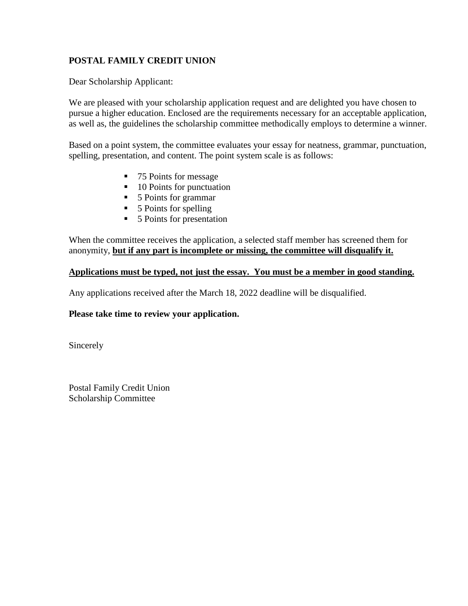# **POSTAL FAMILY CREDIT UNION**

Dear Scholarship Applicant:

We are pleased with your scholarship application request and are delighted you have chosen to pursue a higher education. Enclosed are the requirements necessary for an acceptable application, as well as, the guidelines the scholarship committee methodically employs to determine a winner.

Based on a point system, the committee evaluates your essay for neatness, grammar, punctuation, spelling, presentation, and content. The point system scale is as follows:

- 75 Points for message
- $\blacksquare$  10 Points for punctuation
- 5 Points for grammar
- 5 Points for spelling
- 5 Points for presentation

When the committee receives the application, a selected staff member has screened them for anonymity, **but if any part is incomplete or missing, the committee will disqualify it.** 

### **Applications must be typed, not just the essay. You must be a member in good standing.**

Any applications received after the March 18, 2022 deadline will be disqualified.

### **Please take time to review your application.**

Sincerely

Postal Family Credit Union Scholarship Committee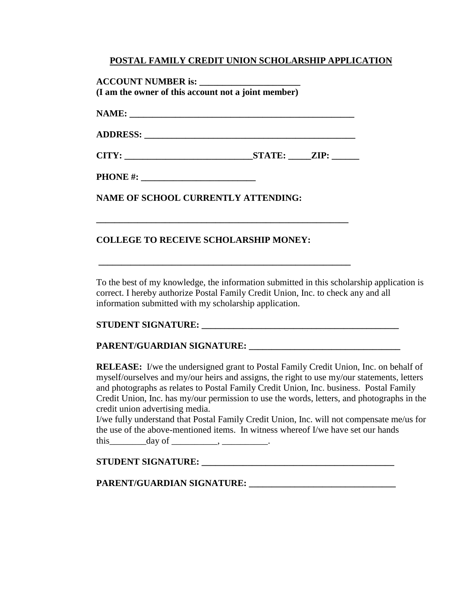### **POSTAL FAMILY CREDIT UNION SCHOLARSHIP APPLICATION**

**ACCOUNT NUMBER is: \_\_\_\_\_\_\_\_\_\_\_\_\_\_\_\_\_\_\_\_\_\_ (I am the owner of this account not a joint member) NAME:**  $\blacksquare$ **ADDRESS: \_\_\_\_\_\_\_\_\_\_\_\_\_\_\_\_\_\_\_\_\_\_\_\_\_\_\_\_\_\_\_\_\_\_\_\_\_\_\_\_\_\_\_\_\_\_**

**CITY: \_\_\_\_\_\_\_\_\_\_\_\_\_\_\_\_\_\_\_\_\_\_\_\_\_\_\_\_STATE: \_\_\_\_\_ZIP: \_\_\_\_\_\_**

**\_\_\_\_\_\_\_\_\_\_\_\_\_\_\_\_\_\_\_\_\_\_\_\_\_\_\_\_\_\_\_\_\_\_\_\_\_\_\_\_\_\_\_\_\_\_\_\_\_\_\_\_\_\_\_**

**\_\_\_\_\_\_\_\_\_\_\_\_\_\_\_\_\_\_\_\_\_\_\_\_\_\_\_\_\_\_\_\_\_\_\_\_\_\_\_\_\_\_\_\_\_\_\_\_\_\_\_\_\_\_\_**

**PHONE #:** 

**NAME OF SCHOOL CURRENTLY ATTENDING:**

## **COLLEGE TO RECEIVE SCHOLARSHIP MONEY:**

To the best of my knowledge, the information submitted in this scholarship application is correct. I hereby authorize Postal Family Credit Union, Inc. to check any and all information submitted with my scholarship application.

### **STUDENT SIGNATURE:**

### **PARENT/GUARDIAN SIGNATURE: \_\_\_\_\_\_\_\_\_\_\_\_\_\_\_\_\_\_\_\_\_\_\_\_\_\_\_\_\_\_\_\_\_**

**RELEASE:** I/we the undersigned grant to Postal Family Credit Union, Inc. on behalf of myself/ourselves and my/our heirs and assigns, the right to use my/our statements, letters and photographs as relates to Postal Family Credit Union, Inc. business. Postal Family Credit Union, Inc. has my/our permission to use the words, letters, and photographs in the credit union advertising media.

I/we fully understand that Postal Family Credit Union, Inc. will not compensate me/us for the use of the above-mentioned items. In witness whereof I/we have set our hands this day of this the contract of the contract of the contract of the contract of the contract of the contract of the contract of the contract of the contract of the contract of the contract of the contract of the contract

### **STUDENT SIGNATURE: \_\_\_\_\_\_\_\_\_\_\_\_\_\_\_\_\_\_\_\_\_\_\_\_\_\_\_\_\_\_\_\_\_\_\_\_\_\_\_\_\_\_**

**PARENT/GUARDIAN SIGNATURE: \_\_\_\_\_\_\_\_\_\_\_\_\_\_\_\_\_\_\_\_\_\_\_\_\_\_\_\_\_\_\_\_**